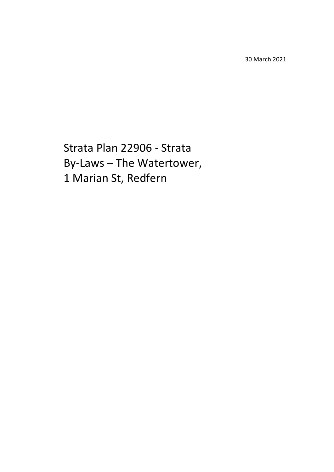30 March 2021

Strata Plan 22906 - Strata By-Laws – The Watertower, 1 Marian St, Redfern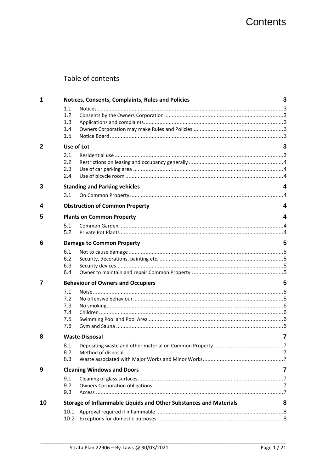## Table of contents

| 1              |            | Notices, Consents, Complaints, Rules and Policies                 | 3 |
|----------------|------------|-------------------------------------------------------------------|---|
|                | 1.1        |                                                                   |   |
|                | 1.2        |                                                                   |   |
|                | 1.3        |                                                                   |   |
|                | 1.4        |                                                                   |   |
|                | 1.5        |                                                                   |   |
| $\overline{2}$ | Use of Lot |                                                                   | 3 |
|                | 2.1        |                                                                   |   |
|                | 2.2        |                                                                   |   |
|                | 2.3        |                                                                   |   |
|                | 2.4        |                                                                   |   |
| 3              |            | <b>Standing and Parking vehicles</b>                              | 4 |
|                | 3.1        |                                                                   |   |
| 4              |            | <b>Obstruction of Common Property</b>                             | 4 |
| 5              |            | <b>Plants on Common Property</b>                                  | 4 |
|                | 5.1        |                                                                   |   |
|                | 5.2        |                                                                   |   |
| 6              |            | <b>Damage to Common Property</b>                                  | 5 |
|                | 6.1        |                                                                   |   |
|                | 6.2        |                                                                   |   |
|                | 6.3        |                                                                   |   |
|                | 6.4        |                                                                   |   |
| 7              |            | <b>Behaviour of Owners and Occupiers</b>                          | 5 |
|                | 7.1        |                                                                   |   |
|                | 7.2        |                                                                   |   |
|                | 7.3        |                                                                   |   |
|                | 7.4        |                                                                   |   |
|                | 7.5        |                                                                   |   |
|                | 7.6        |                                                                   |   |
| 8              |            | <b>Waste Disposal</b>                                             | 7 |
|                | 8.1        |                                                                   |   |
|                | 8.2        |                                                                   |   |
|                | 8.3        |                                                                   |   |
| 9              |            | <b>Cleaning Windows and Doors</b>                                 | 7 |
|                | 9.1        |                                                                   |   |
|                | 9.2        |                                                                   |   |
|                | 9.3        |                                                                   |   |
| 10             |            | Storage of Inflammable Liquids and Other Substances and Materials | 8 |
|                | 10.1       |                                                                   |   |
|                |            |                                                                   |   |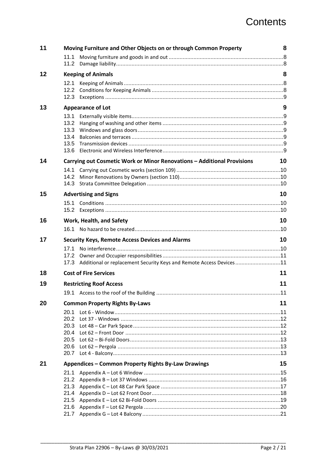## **Contents**

| 11 | Moving Furniture and Other Objects on or through Common Property            | 8  |
|----|-----------------------------------------------------------------------------|----|
|    | 11.1                                                                        |    |
|    |                                                                             |    |
| 12 | <b>Keeping of Animals</b>                                                   | 8  |
|    | 12.1                                                                        |    |
|    |                                                                             |    |
|    |                                                                             |    |
| 13 | <b>Appearance of Lot</b>                                                    | 9  |
|    | 13.1                                                                        |    |
|    | 13.2                                                                        |    |
|    | 13.3                                                                        |    |
|    | 13.4                                                                        |    |
|    | 13.5<br>13.6                                                                |    |
|    |                                                                             |    |
| 14 | Carrying out Cosmetic Work or Minor Renovations - Additional Provisions     | 10 |
|    | 14.1                                                                        |    |
|    | 14.2                                                                        |    |
|    | 14.3                                                                        |    |
| 15 | <b>Advertising and Signs</b>                                                | 10 |
|    | 15.1                                                                        |    |
|    |                                                                             |    |
| 16 | Work, Health, and Safety                                                    | 10 |
|    | 16.1                                                                        |    |
| 17 | <b>Security Keys, Remote Access Devices and Alarms</b>                      | 10 |
|    |                                                                             |    |
|    | 17.1                                                                        |    |
|    | 17.2                                                                        |    |
|    | Additional or replacement Security Keys and Remote Access Devices11<br>17.3 |    |
| 18 | <b>Cost of Fire Services</b>                                                | 11 |
| 19 | <b>Restricting Roof Access</b>                                              | 11 |
|    |                                                                             |    |
| 20 | <b>Common Property Rights By-Laws</b>                                       | 11 |
|    | 20.1                                                                        |    |
|    | 20.2                                                                        |    |
|    | 20.3                                                                        |    |
|    | 20.4                                                                        |    |
|    | 20.5                                                                        |    |
|    | 20.6                                                                        |    |
|    | 20.7                                                                        |    |
| 21 | Appendices - Common Property Rights By-Law Drawings                         | 15 |
|    | 21.1                                                                        |    |
|    | 21.2                                                                        |    |
|    | 21.3<br>21.4                                                                |    |
|    | 21.5                                                                        |    |
|    | 21.6                                                                        |    |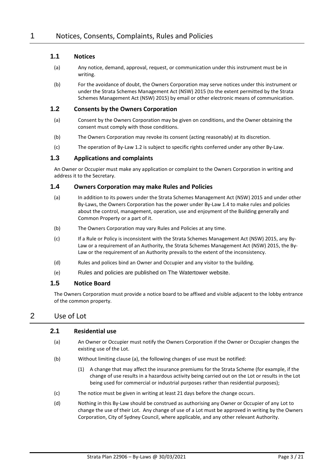#### **1.1 Notices**

- (a) Any notice, demand, approval, request, or communication under this instrument must be in writing.
- (b) For the avoidance of doubt, the Owners Corporation may serve notices under this instrument or under the Strata Schemes Management Act (NSW) 2015 (to the extent permitted by the Strata Schemes Management Act (NSW) 2015) by email or other electronic means of communication.

#### <span id="page-3-0"></span>**1.2 Consents by the Owners Corporation**

- (a) Consent by the Owners Corporation may be given on conditions, and the Owner obtaining the consent must comply with those conditions.
- (b) The Owners Corporation may revoke its consent (acting reasonably) at its discretion.
- (c) The operation of By-Law [1.2](#page-3-0) is subject to specific rights conferred under any other By-Law.

#### **1.3 Applications and complaints**

An Owner or Occupier must make any application or complaint to the Owners Corporation in writing and address it to the Secretary.

#### **1.4 Owners Corporation may make Rules and Policies**

- (a) In addition to its powers under the Strata Schemes Management Act (NSW) 2015 and under other By-Laws, the Owners Corporation has the power under By-Law 1.4 to make rules and policies about the control, management, operation, use and enjoyment of the Building generally and Common Property or a part of it.
- (b) The Owners Corporation may vary Rules and Policies at any time.
- (c) If a Rule or Policy is inconsistent with the Strata Schemes Management Act (NSW) 2015, any By-Law or a requirement of an Authority, the Strata Schemes Management Act (NSW) 2015, the By-Law or the requirement of an Authority prevails to the extent of the inconsistency.
- (d) Rules and polices bind an Owner and Occupier and any visitor to the building.
- (e) Rules and policies are published on The Watertower website.

#### **1.5 Notice Board**

The Owners Corporation must provide a notice board to be affixed and visible adjacent to the lobby entrance of the common property.

#### 2 Use of Lot

#### **2.1 Residential use**

- (a) An Owner or Occupier must notify the Owners Corporation if the Owner or Occupier changes the existing use of the Lot.
- (b) Without limiting clause (a), the following changes of use must be notified:
	- (1) A change that may affect the insurance premiums for the Strata Scheme (for example, if the change of use results in a hazardous activity being carried out on the Lot or results in the Lot being used for commercial or industrial purposes rather than residential purposes);
- (c) The notice must be given in writing at least 21 days before the change occurs.
- (d) Nothing in this By-Law should be construed as authorising any Owner or Occupier of any Lot to change the use of their Lot. Any change of use of a Lot must be approved in writing by the Owners Corporation, City of Sydney Council, where applicable, and any other relevant Authority.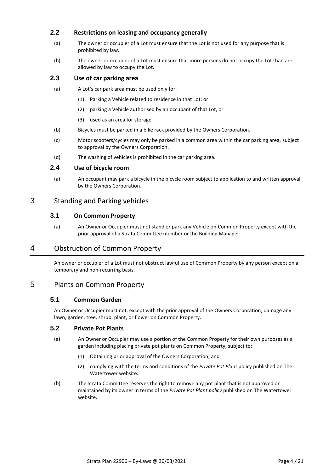#### **2.2 Restrictions on leasing and occupancy generally**

- (a) The owner or occupier of a Lot must ensure that the Lot is not used for any purpose that is prohibited by law.
- (b) The owner or occupier of a Lot must ensure that more persons do not occupy the Lot than are allowed by law to occupy the Lot.

#### **2.3 Use of car parking area**

- (a) A Lot's car park area must be used only for:
	- (1) Parking a Vehicle related to residence in that Lot; or
	- (2) parking a Vehicle authorised by an occupant of that Lot, or
	- (3) used as an area for storage.
- (b) Bicycles must be parked in a bike rack provided by the Owners Corporation.
- (c) Motor scooters/cycles may only be parked in a common area within the car parking area, subject to approval by the Owners Corporation.
- (d) The washing of vehicles is prohibited in the car parking area.

#### **2.4 Use of bicycle room**

(a) An occupant may park a bicycle in the bicycle room subject to application to and written approval by the Owners Corporation.

#### 3 Standing and Parking vehicles

#### **3.1 On Common Property**

(a) An Owner or Occupier must not stand or park any Vehicle on Common Property except with the prior approval of a Strata Committee member or the Building Manager.

#### 4 Obstruction of Common Property

An owner or occupier of a Lot must not obstruct lawful use of Common Property by any person except on a temporary and non-recurring basis.

#### 5 Plants on Common Property

#### **5.1 Common Garden**

An Owner or Occupier must not, except with the prior approval of the Owners Corporation, damage any lawn, garden, tree, shrub, plant, or flower on Common Property.

#### **5.2 Private Pot Plants**

- (a) An Owner or Occupier may use a portion of the Common Property for their own purposes as a garden including placing private pot plants on Common Property, subject to:
	- (1) Obtaining prior approval of the Owners Corporation, and
	- (2) complying with the terms and conditions of the *Private Pot Pl*ant policy published on The Watertower website.
- (b) The Strata Committee reserves the right to remove any pot plant that is not approved or maintained by its owner in terms of the *Private Pot Plant policy* published on The Watertower website.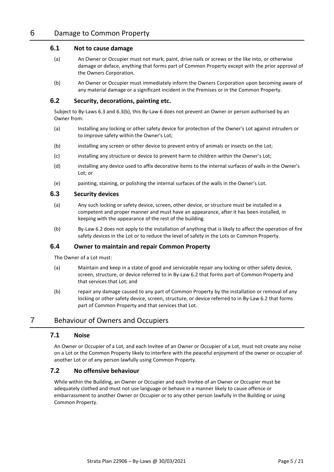#### <span id="page-5-2"></span>**6.1 Not to cause damage**

- (a) An Owner or Occupier must not mark, paint, drive nails or screws or the like into, or otherwise damage or deface, anything that forms part of Common Property except with the prior approval of the Owners Corporation.
- (b) An Owner or Occupier must immediately inform the Owners Corporation upon becoming aware of any material damage or a significant incident in the Premises or in the Common Property.

#### <span id="page-5-3"></span>**6.2 Security, decorations, painting etc.**

Subject to By-Laws [6.3](#page-5-0) an[d 6.3\(b\),](#page-5-1) this By-Law [6](#page-5-2) does not prevent an Owner or person authorised by an Owner from:

- (a) Installing any locking or other safety device for protection of the Owner's Lot against intruders or to improve safety within the Owner's Lot;
- (b) installing any screen or other device to prevent entry of animals or insects on the Lot;
- (c) installing any structure or device to prevent harm to children within the Owner's Lot;
- (d) installing any device used to affix decorative items to the internal surfaces of walls in the Owner's Lot; or
- (e) painting, staining, or polishing the internal surfaces of the walls in the Owner's Lot.

#### <span id="page-5-0"></span>**6.3 Security devices**

- (a) Any such locking or safety device, screen, other device, or structure must be installed in a competent and proper manner and must have an appearance, after it has been installed, in keeping with the appearance of the rest of the building.
- <span id="page-5-1"></span>(b) By-Law [6.2](#page-5-3) does not apply to the installation of anything that is likely to affect the operation of fire safety devices in the Lot or to reduce the level of safety in the Lots or Common Property.

#### **6.4 Owner to maintain and repair Common Property**

The Owner of a Lot must:

- (a) Maintain and keep in a state of good and serviceable repair any locking or other safety device, screen, structure, or device referred to in By-Law [6.2](#page-5-3) that forms part of Common Property and that services that Lot; and
- (b) repair any damage caused to any part of Common Property by the installation or removal of any locking or other safety device, screen, structure, or device referred to in By-Law [6.2](#page-5-3) that forms part of Common Property and that services that Lot.

#### 7 Behaviour of Owners and Occupiers

#### **7.1 Noise**

An Owner or Occupier of a Lot, and each Invitee of an Owner or Occupier of a Lot, must not create any noise on a Lot or the Common Property likely to interfere with the peaceful enjoyment of the owner or occupier of another Lot or of any person lawfully using Common Property.

#### **7.2 No offensive behaviour**

While within the Building, an Owner or Occupier and each Invitee of an Owner or Occupier must be adequately clothed and must not use language or behave in a manner likely to cause offence or embarrassment to another Owner or Occupier or to any other person lawfully in the Building or using Common Property.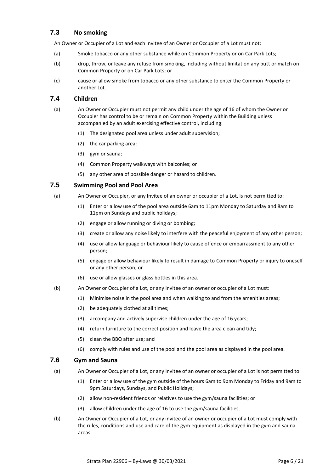#### **7.3 No smoking**

An Owner or Occupier of a Lot and each Invitee of an Owner or Occupier of a Lot must not:

- (a) Smoke tobacco or any other substance while on Common Property or on Car Park Lots;
- (b) drop, throw, or leave any refuse from smoking, including without limitation any butt or match on Common Property or on Car Park Lots; or
- (c) cause or allow smoke from tobacco or any other substance to enter the Common Property or another Lot.

#### **7.4 Children**

- (a) An Owner or Occupier must not permit any child under the age of 16 of whom the Owner or Occupier has control to be or remain on Common Property within the Building unless accompanied by an adult exercising effective control, including:
	- (1) The designated pool area unless under adult supervision;
	- (2) the car parking area;
	- (3) gym or sauna;
	- (4) Common Property walkways with balconies; or
	- (5) any other area of possible danger or hazard to children.

#### **7.5 Swimming Pool and Pool Area**

- (a) An Owner or Occupier, or any Invitee of an owner or occupier of a Lot, is not permitted to:
	- (1) Enter or allow use of the pool area outside 6am to 11pm Monday to Saturday and 8am to 11pm on Sundays and public holidays;
	- (2) engage or allow running or diving or bombing;
	- (3) create or allow any noise likely to interfere with the peaceful enjoyment of any other person;
	- (4) use or allow language or behaviour likely to cause offence or embarrassment to any other person;
	- (5) engage or allow behaviour likely to result in damage to Common Property or injury to oneself or any other person; or
	- (6) use or allow glasses or glass bottles in this area.
- (b) An Owner or Occupier of a Lot, or any Invitee of an owner or occupier of a Lot must:
	- (1) Minimise noise in the pool area and when walking to and from the amenities areas;
	- (2) be adequately clothed at all times;
	- (3) accompany and actively supervise children under the age of 16 years;
	- (4) return furniture to the correct position and leave the area clean and tidy;
	- (5) clean the BBQ after use; and
	- (6) comply with rules and use of the pool and the pool area as displayed in the pool area.

#### **7.6 Gym and Sauna**

- (a) An Owner or Occupier of a Lot, or any Invitee of an owner or occupier of a Lot is not permitted to:
	- (1) Enter or allow use of the gym outside of the hours 6am to 9pm Monday to Friday and 9am to 9pm Saturdays, Sundays, and Public Holidays;
	- (2) allow non-resident friends or relatives to use the gym/sauna facilities; or
	- (3) allow children under the age of 16 to use the gym/sauna facilities.
- (b) An Owner or Occupier of a Lot, or any invitee of an owner or occupier of a Lot must comply with the rules, conditions and use and care of the gym equipment as displayed in the gym and sauna areas.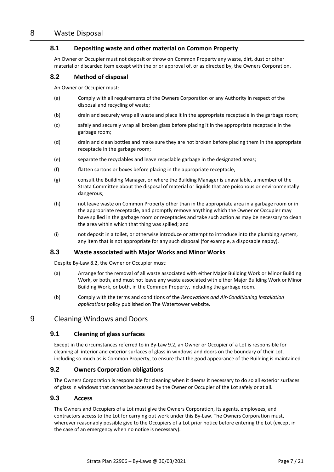#### **8.1 Depositing waste and other material on Common Property**

An Owner or Occupier must not deposit or throw on Common Property any waste, dirt, dust or other material or discarded item except with the prior approval of, or as directed by, the Owners Corporation.

#### **8.2 Method of disposal**

An Owner or Occupier must:

- (a) Comply with all requirements of the Owners Corporation or any Authority in respect of the disposal and recycling of waste;
- (b) drain and securely wrap all waste and place it in the appropriate receptacle in the garbage room;
- (c) safely and securely wrap all broken glass before placing it in the appropriate receptacle in the garbage room;
- (d) drain and clean bottles and make sure they are not broken before placing them in the appropriate receptacle in the garbage room;
- (e) separate the recyclables and leave recyclable garbage in the designated areas;
- (f) flatten cartons or boxes before placing in the appropriate receptacle;
- (g) consult the Building Manager, or where the Building Manager is unavailable, a member of the Strata Committee about the disposal of material or liquids that are poisonous or environmentally dangerous;
- (h) not leave waste on Common Property other than in the appropriate area in a garbage room or in the appropriate receptacle, and promptly remove anything which the Owner or Occupier may have spilled in the garbage room or receptacles and take such action as may be necessary to clean the area within which that thing was spilled; and
- (i) not deposit in a toilet, or otherwise introduce or attempt to introduce into the plumbing system, any item that is not appropriate for any such disposal (for example, a disposable nappy).

#### **8.3 Waste associated with Major Works and Minor Works**

Despite By-Law 8.2, the Owner or Occupier must:

- (a) Arrange for the removal of all waste associated with either Major Building Work or Minor Building Work, or both, and must not leave any waste associated with either Major Building Work or Minor Building Work, or both, in the Common Property, including the garbage room.
- (b) Comply with the terms and conditions of the *Renovations and Air-Conditioning Installation applications* policy published on The Watertower website.

#### 9 Cleaning Windows and Doors

#### **9.1 Cleaning of glass surfaces**

Except in the circumstances referred to in By-Law [9.2,](#page-7-0) an Owner or Occupier of a Lot is responsible for cleaning all interior and exterior surfaces of glass in windows and doors on the boundary of their Lot, including so much as is Common Property, to ensure that the good appearance of the Building is maintained.

#### <span id="page-7-0"></span>**9.2 Owners Corporation obligations**

The Owners Corporation is responsible for cleaning when it deems it necessary to do so all exterior surfaces of glass in windows that cannot be accessed by the Owner or Occupier of the Lot safely or at all.

#### **9.3 Access**

The Owners and Occupiers of a Lot must give the Owners Corporation, its agents, employees, and contractors access to the Lot for carrying out work under this By-Law. The Owners Corporation must, wherever reasonably possible give to the Occupiers of a Lot prior notice before entering the Lot (except in the case of an emergency when no notice is necessary).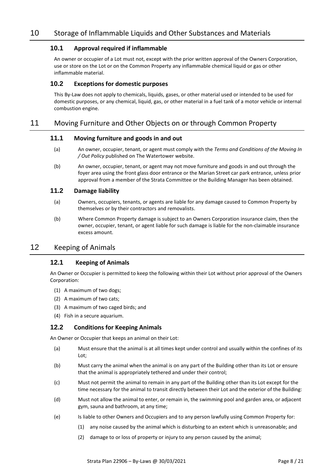#### **10.1 Approval required if inflammable**

An owner or occupier of a Lot must not, except with the prior written approval of the Owners Corporation, use or store on the Lot or on the Common Property any inflammable chemical liquid or gas or other inflammable material.

#### **10.2 Exceptions for domestic purposes**

This By-Law does not apply to chemicals, liquids, gases, or other material used or intended to be used for domestic purposes, or any chemical, liquid, gas, or other material in a fuel tank of a motor vehicle or internal combustion engine.

#### 11 Moving Furniture and Other Objects on or through Common Property

#### **11.1 Moving furniture and goods in and out**

- (a) An owner, occupier, tenant, or agent must comply with the *Terms and Conditions of the Moving In / Out Policy* published on The Watertower website.
- (b) An owner, occupier, tenant, or agent may not move furniture and goods in and out through the foyer area using the front glass door entrance or the Marian Street car park entrance, unless prior approval from a member of the Strata Committee or the Building Manager has been obtained.

#### **11.2 Damage liability**

- (a) Owners, occupiers, tenants, or agents are liable for any damage caused to Common Property by themselves or by their contractors and removalists.
- (b) Where Common Property damage is subject to an Owners Corporation insurance claim, then the owner, occupier, tenant, or agent liable for such damage is liable for the non-claimable insurance excess amount.

#### 12 Keeping of Animals

#### **12.1 Keeping of Animals**

An Owner or Occupier is permitted to keep the following within their Lot without prior approval of the Owners Corporation:

- (1) A maximum of two dogs;
- (2) A maximum of two cats;
- (3) A maximum of two caged birds; and
- (4) Fish in a secure aquarium.

#### **12.2 Conditions for Keeping Animals**

An Owner or Occupier that keeps an animal on their Lot:

- (a) Must ensure that the animal is at all times kept under control and usually within the confines of its Lot;
- (b) Must carry the animal when the animal is on any part of the Building other than its Lot or ensure that the animal is appropriately tethered and under their control;
- (c) Must not permit the animal to remain in any part of the Building other than its Lot except for the time necessary for the animal to transit directly between their Lot and the exterior of the Building:
- (d) Must not allow the animal to enter, or remain in, the swimming pool and garden area, or adjacent gym, sauna and bathroom, at any time;
- (e) Is liable to other Owners and Occupiers and to any person lawfully using Common Property for:
	- (1) any noise caused by the animal which is disturbing to an extent which is unreasonable; and
	- (2) damage to or loss of property or injury to any person caused by the animal;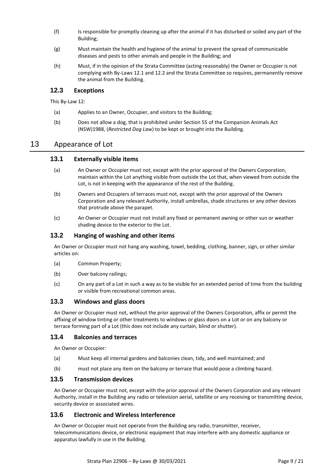- (f) Is responsible for promptly cleaning up after the animal if it has disturbed or soiled any part of the Building;
- (g) Must maintain the health and hygiene of the animal to prevent the spread of communicable diseases and pests to other animals and people in the Building; and
- (h) Must, if in the opinion of the Strata Committee (acting reasonably) the Owner or Occupier is not complying with By-Laws 12.1 and 12.2 and the Strata Committee so requires, permanently remove the animal from the Building.

#### **12.3 Exceptions**

This By-Law 12:

- (a) Applies to an Owner, Occupier, and visitors to the Building;
- (b) Does not allow a dog, that is prohibited under Section 55 of the Companion Animals Act (NSW)1988, (*Restricted Dog Law*) to be kept or brought into the Building.

#### 13 Appearance of Lot

#### **13.1 Externally visible items**

- (a) An Owner or Occupier must not, except with the prior approval of the Owners Corporation, maintain within the Lot anything visible from outside the Lot that, when viewed from outside the Lot, is not in keeping with the appearance of the rest of the Building.
- (b) Owners and Occupiers of terraces must not, except with the prior approval of the Owners Corporation and any relevant Authority, install umbrellas, shade structures or any other devices that protrude above the parapet.
- (c) An Owner or Occupier must not install any fixed or permanent awning or other sun or weather shading device to the exterior to the Lot.

#### **13.2 Hanging of washing and other items**

An Owner or Occupier must not hang any washing, towel, bedding, clothing, banner, sign, or other similar articles on:

- (a) Common Property;
- (b) Over balcony railings;
- (c) On any part of a Lot in such a way as to be visible for an extended period of time from the building or visible from recreational common areas.

#### **13.3 Windows and glass doors**

An Owner or Occupier must not, without the prior approval of the Owners Corporation, affix or permit the affixing of window tinting or other treatments to windows or glass doors on a Lot or on any balcony or terrace forming part of a Lot (this does not include any curtain, blind or shutter).

#### **13.4 Balconies and terraces**

An Owner or Occupier:

- (a) Must keep all internal gardens and balconies clean, tidy, and well maintained; and
- (b) must not place any item on the balcony or terrace that would pose a climbing hazard.

#### **13.5 Transmission devices**

An Owner or Occupier must not, except with the prior approval of the Owners Corporation and any relevant Authority, install in the Building any radio or television aerial, satellite or any receiving or transmitting device, security device or associated wires.

#### **13.6 Electronic and Wireless Interference**

An Owner or Occupier must not operate from the Building any radio, transmitter, receiver, telecommunications device, or electronic equipment that may interfere with any domestic appliance or apparatus lawfully in use in the Building.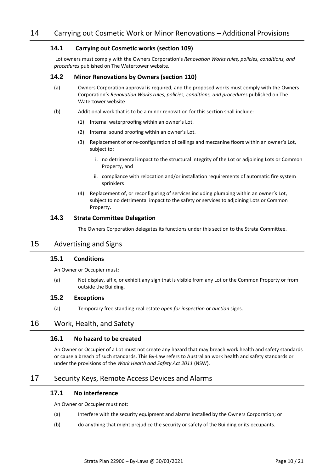#### **14.1 Carrying out Cosmetic works (section 109)**

Lot owners must comply with the Owners Corporation's *Renovation Works rules, policies, conditions, and procedures* published on The Watertower website.

#### **14.2 Minor Renovations by Owners (section 110)**

- (a) Owners Corporation approval is required, and the proposed works must comply with the Owners Corporation's *Renovation Works rules, policies, conditions, and procedures* published on The Watertower website
- (b) Additional work that is to be a minor renovation for this section shall include:
	- (1) Internal waterproofing within an owner's Lot.
	- (2) Internal sound proofing within an owner's Lot.
	- (3) Replacement of or re-configuration of ceilings and mezzanine floors within an owner's Lot, subject to:
		- i. no detrimental impact to the structural integrity of the Lot or adjoining Lots or Common Property, and
		- ii. compliance with relocation and/or installation requirements of automatic fire system sprinklers
	- (4) Replacement of, or reconfiguring of services including plumbing within an owner's Lot, subject to no detrimental impact to the safety or services to adjoining Lots or Common Property.

#### **14.3 Strata Committee Delegation**

The Owners Corporation delegates its functions under this section to the Strata Committee.

#### 15 Advertising and Signs

#### **15.1 Conditions**

An Owner or Occupier must:

(a) Not display, affix, or exhibit any sign that is visible from any Lot or the Common Property or from outside the Building.

#### **15.2 Exceptions**

(a) Temporary free standing real estate *open for inspection* or *auction* signs.

#### 16 Work, Health, and Safety

#### **16.1 No hazard to be created**

An Owner or Occupier of a Lot must not create any hazard that may breach work health and safety standards or cause a breach of such standards. This By-Law refers to Australian work health and safety standards or under the provisions of the *Work Health and Safety Act 2011* (NSW).

#### 17 Security Keys, Remote Access Devices and Alarms

#### **17.1 No interference**

An Owner or Occupier must not:

- (a) Interfere with the security equipment and alarms installed by the Owners Corporation; or
- (b) do anything that might prejudice the security or safety of the Building or its occupants.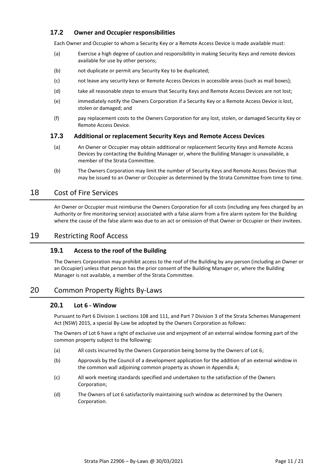#### **17.2 Owner and Occupier responsibilities**

Each Owner and Occupier to whom a Security Key or a Remote Access Device is made available must:

- (a) Exercise a high degree of caution and responsibility in making Security Keys and remote devices available for use by other persons;
- (b) not duplicate or permit any Security Key to be duplicated;
- (c) not leave any security keys or Remote Access Devices in accessible areas (such as mail boxes);
- (d) take all reasonable steps to ensure that Security Keys and Remote Access Devices are not lost;
- (e) immediately notify the Owners Corporation if a Security Key or a Remote Access Device is lost, stolen or damaged; and
- (f) pay replacement costs to the Owners Corporation for any lost, stolen, or damaged Security Key or Remote Access Device.

#### **17.3 Additional or replacement Security Keys and Remote Access Devices**

- (a) An Owner or Occupier may obtain additional or replacement Security Keys and Remote Access Devices by contacting the Building Manager or, where the Building Manager is unavailable, a member of the Strata Committee.
- (b) The Owners Corporation may limit the number of Security Keys and Remote Access Devices that may be issued to an Owner or Occupier as determined by the Strata Committee from time to time.

#### 18 Cost of Fire Services

An Owner or Occupier must reimburse the Owners Corporation for all costs (including any fees charged by an Authority or fire monitoring service) associated with a false alarm from a fire alarm system for the Building where the cause of the false alarm was due to an act or omission of that Owner or Occupier or their invitees.

#### 19 Restricting Roof Access

#### **19.1 Access to the roof of the Building**

The Owners Corporation may prohibit access to the roof of the Building by any person (including an Owner or an Occupier) unless that person has the prior consent of the Building Manager or, where the Building Manager is not available, a member of the Strata Committee.

#### 20 Common Property Rights By-Laws

#### **20.1 Lot 6 - Window**

Pursuant to Part 6 Division 1 sections 108 and 111, and Part 7 Division 3 of the Strata Schemes Management Act (NSW) 2015, a special By-Law be adopted by the Owners Corporation as follows:

The Owners of Lot 6 have a right of exclusive use and enjoyment of an external window forming part of the common property subject to the following:

- (a) All costs incurred by the Owners Corporation being borne by the Owners of Lot 6;
- (b) Approvals by the Council of a development application for the addition of an external window in the common wall adjoining common property as shown in Appendix A;
- (c) All work meeting standards specified and undertaken to the satisfaction of the Owners Corporation;
- (d) The Owners of Lot 6 satisfactorily maintaining such window as determined by the Owners Corporation.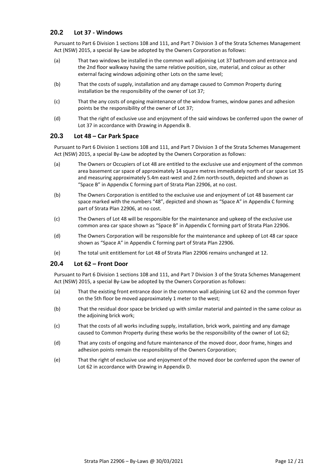#### **20.2 Lot 37 - Windows**

Pursuant to Part 6 Division 1 sections 108 and 111, and Part 7 Division 3 of the Strata Schemes Management Act (NSW) 2015, a special By-Law be adopted by the Owners Corporation as follows:

- (a) That two windows be installed in the common wall adjoining Lot 37 bathroom and entrance and the 2nd floor walkway having the same relative position, size, material, and colour as other external facing windows adjoining other Lots on the same level;
- (b) That the costs of supply, installation and any damage caused to Common Property during installation be the responsibility of the owner of Lot 37;
- (c) That the any costs of ongoing maintenance of the window frames, window panes and adhesion points be the responsibility of the owner of Lot 37;
- (d) That the right of exclusive use and enjoyment of the said windows be conferred upon the owner of Lot 37 in accordance with Drawing in Appendix B.

#### **20.3 Lot 48 – Car Park Space**

Pursuant to Part 6 Division 1 sections 108 and 111, and Part 7 Division 3 of the Strata Schemes Management Act (NSW) 2015, a special By-Law be adopted by the Owners Corporation as follows:

- (a) The Owners or Occupiers of Lot 48 are entitled to the exclusive use and enjoyment of the common area basement car space of approximately 14 square metres immediately north of car space Lot 35 and measuring approximately 5.4m east-west and 2.6m north-south, depicted and shown as "Space B" in Appendix C forming part of Strata Plan 22906, at no cost.
- (b) The Owners Corporation is entitled to the exclusive use and enjoyment of Lot 48 basement car space marked with the numbers "48", depicted and shown as "Space A" in Appendix C forming part of Strata Plan 22906, at no cost.
- (c) The Owners of Lot 48 will be responsible for the maintenance and upkeep of the exclusive use common area car space shown as "Space B" in Appendix C forming part of Strata Plan 22906.
- (d) The Owners Corporation will be responsible for the maintenance and upkeep of Lot 48 car space shown as "Space A" in Appendix C forming part of Strata Plan 22906.
- (e) The total unit entitlement for Lot 48 of Strata Plan 22906 remains unchanged at 12.

#### **20.4 Lot 62 – Front Door**

Pursuant to Part 6 Division 1 sections 108 and 111, and Part 7 Division 3 of the Strata Schemes Management Act (NSW) 2015, a special By-Law be adopted by the Owners Corporation as follows:

- (a) That the existing front entrance door in the common wall adjoining Lot 62 and the common foyer on the 5th floor be moved approximately 1 meter to the west;
- (b) That the residual door space be bricked up with similar material and painted in the same colour as the adjoining brick work;
- (c) That the costs of all works including supply, installation, brick work, painting and any damage caused to Common Property during these works be the responsibility of the owner of Lot 62;
- (d) That any costs of ongoing and future maintenance of the moved door, door frame, hinges and adhesion points remain the responsibility of the Owners Corporation;
- (e) That the right of exclusive use and enjoyment of the moved door be conferred upon the owner of Lot 62 in accordance with Drawing in Appendix D.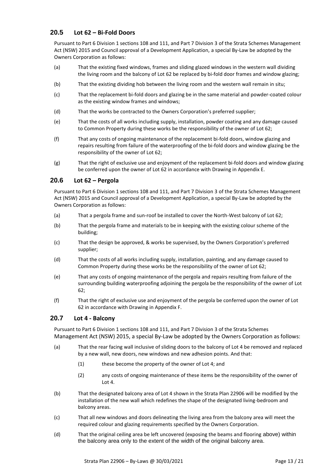#### **20.5 Lot 62 – Bi-Fold Doors**

Pursuant to Part 6 Division 1 sections 108 and 111, and Part 7 Division 3 of the Strata Schemes Management Act (NSW) 2015 and Council approval of a Development Application, a special By-Law be adopted by the Owners Corporation as follows:

- (a) That the existing fixed windows, frames and sliding glazed windows in the western wall dividing the living room and the balcony of Lot 62 be replaced by bi-fold door frames and window glazing;
- (b) That the existing dividing hob between the living room and the western wall remain in situ;
- (c) That the replacement bi-fold doors and glazing be in the same material and powder-coated colour as the existing window frames and windows;
- (d) That the works be contracted to the Owners Corporation's preferred supplier;
- (e) That the costs of all works including supply, installation, powder coating and any damage caused to Common Property during these works be the responsibility of the owner of Lot 62;
- (f) That any costs of ongoing maintenance of the replacement bi-fold doors, window glazing and repairs resulting from failure of the waterproofing of the bi-fold doors and window glazing be the responsibility of the owner of Lot 62;
- (g) That the right of exclusive use and enjoyment of the replacement bi-fold doors and window glazing be conferred upon the owner of Lot 62 in accordance with Drawing in Appendix E.

#### **20.6 Lot 62 – Pergola**

Pursuant to Part 6 Division 1 sections 108 and 111, and Part 7 Division 3 of the Strata Schemes Management Act (NSW) 2015 and Council approval of a Development Application, a special By-Law be adopted by the Owners Corporation as follows:

- (a) That a pergola frame and sun-roof be installed to cover the North-West balcony of Lot 62;
- (b) That the pergola frame and materials to be in keeping with the existing colour scheme of the building;
- (c) That the design be approved, & works be supervised, by the Owners Corporation's preferred supplier;
- (d) That the costs of all works including supply, installation, painting, and any damage caused to Common Property during these works be the responsibility of the owner of Lot 62;
- (e) That any costs of ongoing maintenance of the pergola and repairs resulting from failure of the surrounding building waterproofing adjoining the pergola be the responsibility of the owner of Lot 62;
- (f) That the right of exclusive use and enjoyment of the pergola be conferred upon the owner of Lot 62 in accordance with Drawing in Appendix F.

#### **20.7 Lot 4 - Balcony**

Pursuant to Part 6 Division 1 sections 108 and 111, and Part 7 Division 3 of the Strata Schemes Management Act (NSW) 2015, a special By-Law be adopted by the Owners Corporation as follows:

- (a) That the rear facing wall inclusive of sliding doors to the balcony of Lot 4 be removed and replaced by a new wall, new doors, new windows and new adhesion points. And that:
	- (1) these become the property of the owner of Lot 4; and
	- (2) any costs of ongoing maintenance of these items be the responsibility of the owner of Lot 4.
- (b) That the designated balcony area of Lot 4 shown in the Strata Plan 22906 will be modified by the installation of the new wall which redefines the shape of the designated living-bedroom and balcony areas.
- (c) That all new windows and doors delineating the living area from the balcony area will meet the required colour and glazing requirements specified by the Owners Corporation.
- (d) That the original ceiling area be left uncovered (exposing the beams and flooring above) within the balcony area only to the extent of the width of the original balcony area.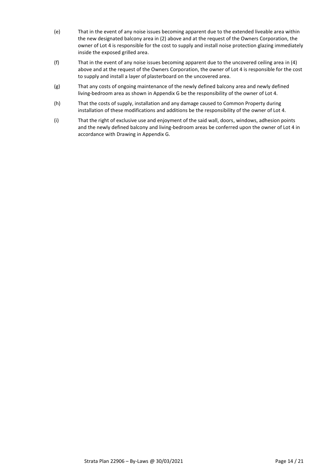- (e) That in the event of any noise issues becoming apparent due to the extended liveable area within the new designated balcony area in (2) above and at the request of the Owners Corporation, the owner of Lot 4 is responsible for the cost to supply and install noise protection glazing immediately inside the exposed grilled area.
- (f) That in the event of any noise issues becoming apparent due to the uncovered ceiling area in (4) above and at the request of the Owners Corporation, the owner of Lot 4 is responsible for the cost to supply and install a layer of plasterboard on the uncovered area.
- (g) That any costs of ongoing maintenance of the newly defined balcony area and newly defined living-bedroom area as shown in Appendix G be the responsibility of the owner of Lot 4.
- (h) That the costs of supply, installation and any damage caused to Common Property during installation of these modifications and additions be the responsibility of the owner of Lot 4.
- (i) That the right of exclusive use and enjoyment of the said wall, doors, windows, adhesion points and the newly defined balcony and living-bedroom areas be conferred upon the owner of Lot 4 in accordance with Drawing in Appendix G.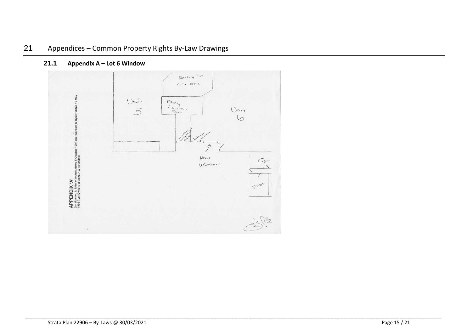

\_\_\_\_\_\_\_\_\_\_\_\_\_\_\_\_\_\_\_\_\_\_\_\_\_\_\_\_\_\_\_\_\_\_\_\_\_\_\_\_\_\_\_\_\_\_\_\_\_\_\_\_\_\_\_\_\_\_\_\_\_\_\_\_\_\_\_\_\_\_\_\_\_\_\_\_\_\_\_\_\_\_\_\_\_\_\_\_\_\_\_\_\_\_\_\_\_\_\_\_\_\_\_\_\_\_\_\_\_\_\_\_\_\_\_\_\_\_\_\_\_\_\_\_\_\_\_\_\_\_\_\_\_\_\_\_\_\_\_\_\_\_\_\_\_\_\_\_\_

#### **21.1 Appendix A – Lot 6 Window**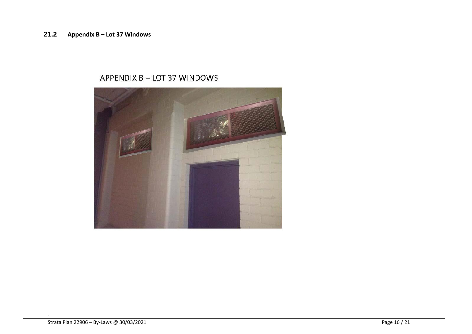## APPENDIX B - LOT 37 WINDOWS

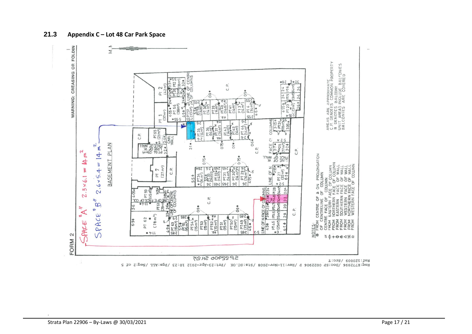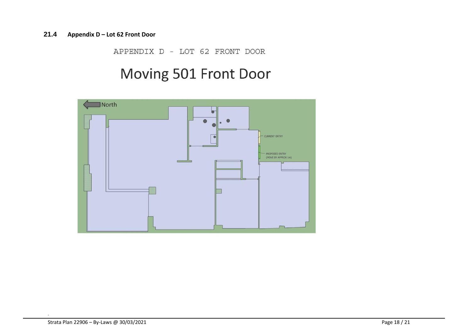#### **21.4 Appendix D – Lot 62 Front Door**

APPENDIX D - LOT 62 FRONT DOOR

## Moving 501 Front Door

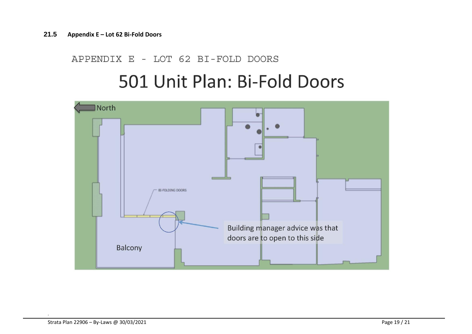## APPENDIX E - LOT 62 BI-FOLD DOORS

# 501 Unit Plan: Bi-Fold Doors

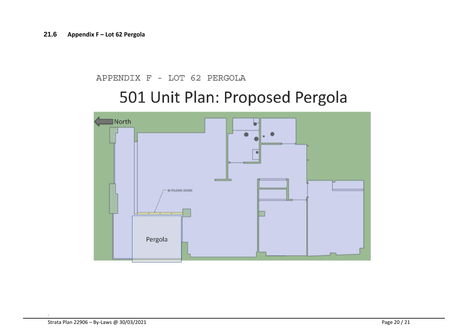### APPENDIX F - LOT 62 PERGOLA

# 501 Unit Plan: Proposed Pergola